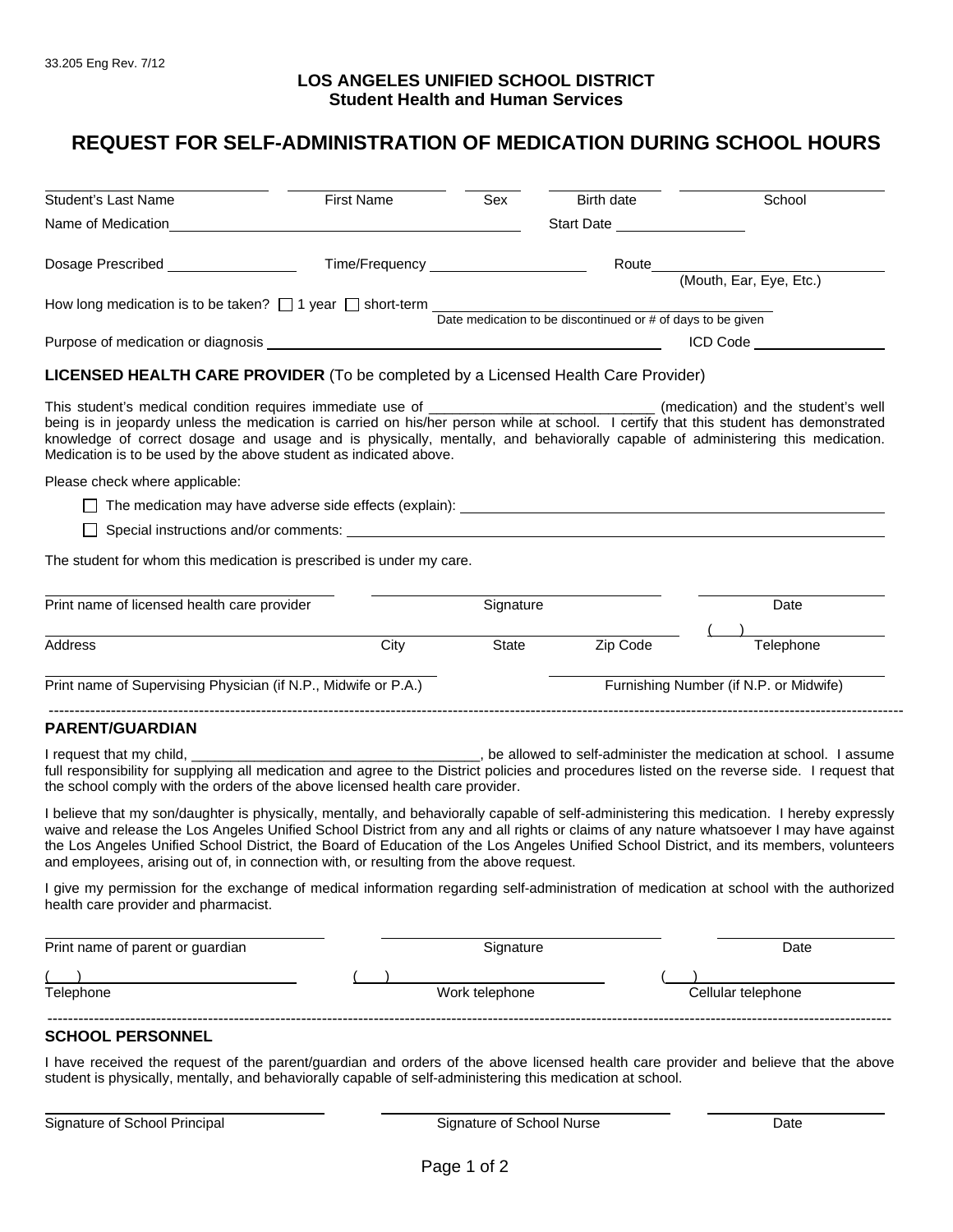## **LOS ANGELES UNIFIED SCHOOL DISTRICT Student Health and Human Services**

## **REQUEST FOR SELF-ADMINISTRATION OF MEDICATION DURING SCHOOL HOURS**

| <b>Student's Last Name</b>                                                                                                                                                                                                                                                                                                                                                                                                                                                     | <b>First Name</b>                     | Sex   | Birth date                               | School                       |
|--------------------------------------------------------------------------------------------------------------------------------------------------------------------------------------------------------------------------------------------------------------------------------------------------------------------------------------------------------------------------------------------------------------------------------------------------------------------------------|---------------------------------------|-------|------------------------------------------|------------------------------|
|                                                                                                                                                                                                                                                                                                                                                                                                                                                                                |                                       |       | Start Date <u>______________________</u> |                              |
| Dosage Prescribed __________________                                                                                                                                                                                                                                                                                                                                                                                                                                           | Time/Frequency ______________________ |       |                                          |                              |
|                                                                                                                                                                                                                                                                                                                                                                                                                                                                                |                                       |       |                                          |                              |
| How long medication is to be taken? $\Box$ 1 year $\Box$ short-term $\Box$ Date medication to be discontinued or # of days to be given                                                                                                                                                                                                                                                                                                                                         |                                       |       |                                          |                              |
|                                                                                                                                                                                                                                                                                                                                                                                                                                                                                |                                       |       |                                          |                              |
|                                                                                                                                                                                                                                                                                                                                                                                                                                                                                |                                       |       |                                          | ICD Code <b>Account Code</b> |
| <b>LICENSED HEALTH CARE PROVIDER</b> (To be completed by a Licensed Health Care Provider)                                                                                                                                                                                                                                                                                                                                                                                      |                                       |       |                                          |                              |
| This student's medical condition requires immediate use of _________________________________(medication) and the student's well<br>being is in jeopardy unless the medication is carried on his/her person while at school. I certify that this student has demonstrated<br>knowledge of correct dosage and usage and is physically, mentally, and behaviorally capable of administering this medication.<br>Medication is to be used by the above student as indicated above. |                                       |       |                                          |                              |
| Please check where applicable:                                                                                                                                                                                                                                                                                                                                                                                                                                                 |                                       |       |                                          |                              |
| $\Box$ The medication may have adverse side effects (explain): $\Box$                                                                                                                                                                                                                                                                                                                                                                                                          |                                       |       |                                          |                              |
|                                                                                                                                                                                                                                                                                                                                                                                                                                                                                |                                       |       |                                          |                              |
| The student for whom this medication is prescribed is under my care.                                                                                                                                                                                                                                                                                                                                                                                                           |                                       |       |                                          |                              |
| Print name of licensed health care provider<br>Signature                                                                                                                                                                                                                                                                                                                                                                                                                       |                                       |       | Date                                     |                              |
|                                                                                                                                                                                                                                                                                                                                                                                                                                                                                |                                       |       |                                          |                              |
| <b>Address</b>                                                                                                                                                                                                                                                                                                                                                                                                                                                                 | City                                  | State | Zip Code                                 | Telephone                    |
| Print name of Supervising Physician (if N.P., Midwife or P.A.)                                                                                                                                                                                                                                                                                                                                                                                                                 |                                       |       | Furnishing Number (if N.P. or Midwife)   |                              |
| <b>PARENT/GUARDIAN</b>                                                                                                                                                                                                                                                                                                                                                                                                                                                         |                                       |       |                                          |                              |
|                                                                                                                                                                                                                                                                                                                                                                                                                                                                                |                                       |       |                                          |                              |
| full responsibility for supplying all medication and agree to the District policies and procedures listed on the reverse side. I request that<br>the school comply with the orders of the above licensed health care provider.                                                                                                                                                                                                                                                 |                                       |       |                                          |                              |

I believe that my son/daughter is physically, mentally, and behaviorally capable of self-administering this medication. I hereby expressly waive and release the Los Angeles Unified School District from any and all rights or claims of any nature whatsoever I may have against the Los Angeles Unified School District, the Board of Education of the Los Angeles Unified School District, and its members, volunteers and employees, arising out of, in connection with, or resulting from the above request.

I give my permission for the exchange of medical information regarding self-administration of medication at school with the authorized health care provider and pharmacist.

| Print name of parent or guardian | Signature      | Date               |
|----------------------------------|----------------|--------------------|
| Telephone                        | Work telephone | Cellular telephone |
|                                  |                |                    |

## **SCHOOL PERSONNEL**

I have received the request of the parent/guardian and orders of the above licensed health care provider and believe that the above student is physically, mentally, and behaviorally capable of self-administering this medication at school.

| Signature of School Principal |  |
|-------------------------------|--|
|-------------------------------|--|

l.